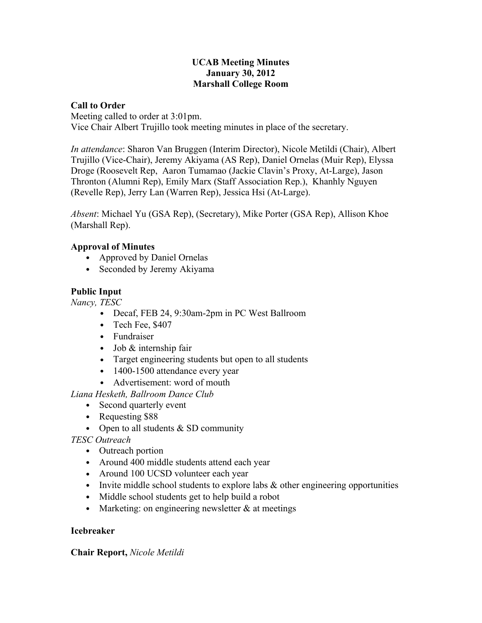#### **UCAB Meeting Minutes January 30, 2012 Marshall College Room**

#### **Call to Order**

Meeting called to order at 3:01pm. Vice Chair Albert Trujillo took meeting minutes in place of the secretary.

*In attendance*: Sharon Van Bruggen (Interim Director), Nicole Metildi (Chair), Albert Trujillo (Vice-Chair), Jeremy Akiyama (AS Rep), Daniel Ornelas (Muir Rep), Elyssa Droge (Roosevelt Rep, Aaron Tumamao (Jackie Clavin's Proxy, At-Large), Jason Thronton (Alumni Rep), Emily Marx (Staff Association Rep.), Khanhly Nguyen (Revelle Rep), Jerry Lan (Warren Rep), Jessica Hsi (At-Large).

*Absent*: Michael Yu (GSA Rep), (Secretary), Mike Porter (GSA Rep), Allison Khoe (Marshall Rep).

### **Approval of Minutes**

- Approved by Daniel Ornelas
- Seconded by Jeremy Akiyama

# **Public Input**

*Nancy, TESC*

- Decaf, FEB 24, 9:30am-2pm in PC West Ballroom
- Tech Fee, \$407
- Fundraiser
- Job & internship fair
- Target engineering students but open to all students
- 1400-1500 attendance every year
- Advertisement: word of mouth

*Liana Hesketh, Ballroom Dance Club*

- Second quarterly event
- Requesting \$88
- Open to all students  $&$  SD community

### *TESC Outreach*

- Outreach portion
- Around 400 middle students attend each year
- Around 100 UCSD volunteer each year
- Invite middle school students to explore labs  $\&$  other engineering opportunities
- Middle school students get to help build a robot
- Marketing: on engineering newsletter  $\&$  at meetings

### **Icebreaker**

### **Chair Report,** *Nicole Metildi*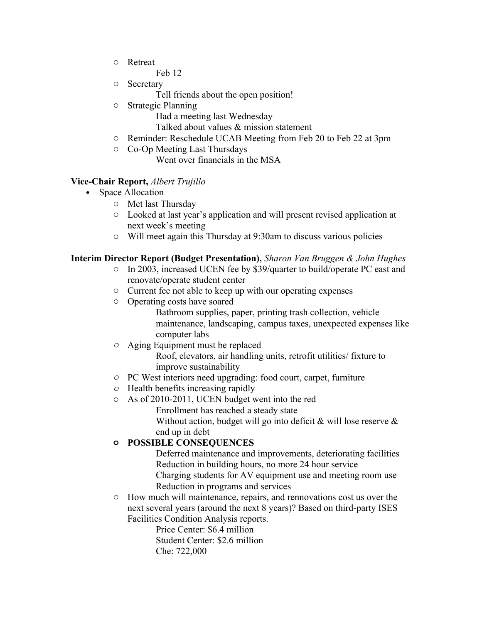- o Retreat
	- Feb 12
- o Secretary
	- Tell friends about the open position!
- o Strategic Planning
	- Had a meeting last Wednesday
	- Talked about values & mission statement
- o Reminder: Reschedule UCAB Meeting from Feb 20 to Feb 22 at 3pm
- o Co-Op Meeting Last Thursdays

Went over financials in the MSA

#### **Vice-Chair Report,** *Albert Trujillo*

- Space Allocation
	- o Met last Thursday
	- o Looked at last year's application and will present revised application at next week's meeting
	- o Will meet again this Thursday at 9:30am to discuss various policies

# **Interim Director Report (Budget Presentation),** *Sharon Van Bruggen & John Hughes*

- o In 2003, increased UCEN fee by \$39/quarter to build/operate PC east and renovate/operate student center
- o Current fee not able to keep up with our operating expenses
- o Operating costs have soared

Bathroom supplies, paper, printing trash collection, vehicle maintenance, landscaping, campus taxes, unexpected expenses like computer labs

- *o* Aging Equipment must be replaced Roof, elevators, air handling units, retrofit utilities/ fixture to improve sustainability
- *o* PC West interiors need upgrading: food court, carpet, furniture
- *o* Health benefits increasing rapidly
- o As of 2010-2011, UCEN budget went into the red Enrollment has reached a steady state Without action, budget will go into deficit  $\&$  will lose reserve  $\&$ end up in debt

# **o POSSIBLE CONSEQUENCES**

Deferred maintenance and improvements, deteriorating facilities Reduction in building hours, no more 24 hour service Charging students for AV equipment use and meeting room use Reduction in programs and services

o How much will maintenance, repairs, and rennovations cost us over the next several years (around the next 8 years)? Based on third-party ISES Facilities Condition Analysis reports.

> Price Center: \$6.4 million Student Center: \$2.6 million Che: 722,000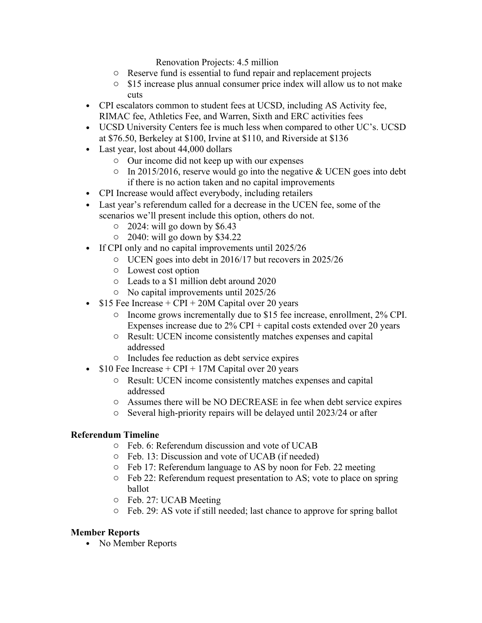Renovation Projects: 4.5 million

- o Reserve fund is essential to fund repair and replacement projects
- o \$15 increase plus annual consumer price index will allow us to not make cuts
- CPI escalators common to student fees at UCSD, including AS Activity fee, RIMAC fee, Athletics Fee, and Warren, Sixth and ERC activities fees
- UCSD University Centers fee is much less when compared to other UC's. UCSD at \$76.50, Berkeley at \$100, Irvine at \$110, and Riverside at \$136
- Last year, lost about 44,000 dollars
	- o Our income did not keep up with our expenses
	- $\circ$  In 2015/2016, reserve would go into the negative & UCEN goes into debt if there is no action taken and no capital improvements
- CPI Increase would affect everybody, including retailers
- Last year's referendum called for a decrease in the UCEN fee, some of the scenarios we'll present include this option, others do not.
	- $\circ$  2024: will go down by \$6.43
	- o 2040: will go down by \$34.22
- If CPI only and no capital improvements until 2025/26
	- o UCEN goes into debt in 2016/17 but recovers in 2025/26
	- o Lowest cost option
	- o Leads to a \$1 million debt around 2020
	- o No capital improvements until 2025/26
- $$15$  Fee Increase + CPI + 20M Capital over 20 years
	- o Income grows incrementally due to \$15 fee increase, enrollment, 2% CPI. Expenses increase due to  $2\%$  CPI + capital costs extended over 20 years
	- o Result: UCEN income consistently matches expenses and capital addressed
	- o Includes fee reduction as debt service expires
- $$10$  Fee Increase + CPI + 17M Capital over 20 years
	- o Result: UCEN income consistently matches expenses and capital addressed
	- o Assumes there will be NO DECREASE in fee when debt service expires
	- o Several high-priority repairs will be delayed until 2023/24 or after

### **Referendum Timeline**

- o Feb. 6: Referendum discussion and vote of UCAB
- o Feb. 13: Discussion and vote of UCAB (if needed)
- o Feb 17: Referendum language to AS by noon for Feb. 22 meeting
- o Feb 22: Referendum request presentation to AS; vote to place on spring ballot
- o Feb. 27: UCAB Meeting
- o Feb. 29: AS vote if still needed; last chance to approve for spring ballot

### **Member Reports**

• No Member Reports